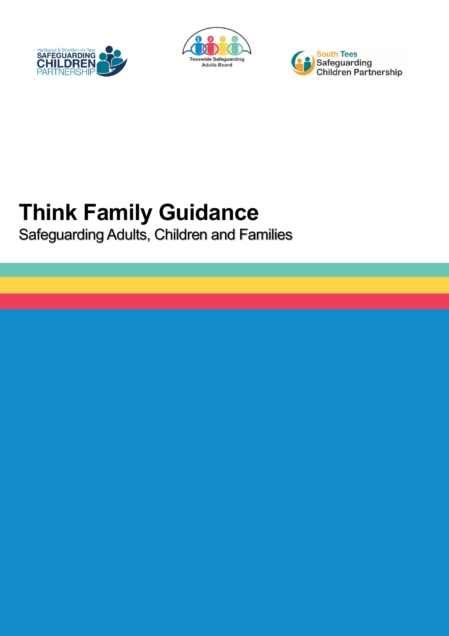





# **Think Family Guidance**

Safeguarding Adults, Children and Families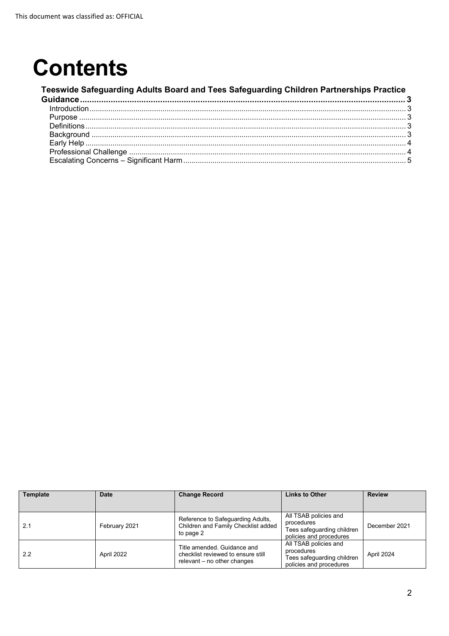## **Contents**

#### **[Teeswide Safeguarding Adults Board and Tees Safeguarding Children Partnerships Practice](#page-2-0)  [Guidance.......................................................................................................................................... 3](#page-2-0)** [Introduction........................................................................................................................................................ 3](#page-2-1) Purpose [............................................................................................................................................................. 3](#page-2-2) [Definitions.......................................................................................................................................................... 3](#page-2-3) Background [....................................................................................................................................................... 3](#page-2-4) Early Help [.......................................................................................................................................................... 4](#page-3-0) Professional Challenge [..................................................................................................................................... 4](#page-3-1) [Escalating Concerns – Significant Harm........................................................................................................... 5](#page-4-0)

| Template | <b>Date</b>   | <b>Change Record</b>                                                                             | <b>Links to Other</b>                                                                        | <b>Review</b> |
|----------|---------------|--------------------------------------------------------------------------------------------------|----------------------------------------------------------------------------------------------|---------------|
|          |               |                                                                                                  |                                                                                              |               |
| 2.1      | February 2021 | Reference to Safeguarding Adults,<br>Children and Family Checklist added<br>to page 2            | All TSAB policies and<br>procedures<br>Tees safequarding children<br>policies and procedures | December 2021 |
| 2.2      | April 2022    | Title amended. Guidance and<br>checklist reviewed to ensure still<br>relevant - no other changes | All TSAB policies and<br>procedures<br>Tees safequarding children<br>policies and procedures | April 2024    |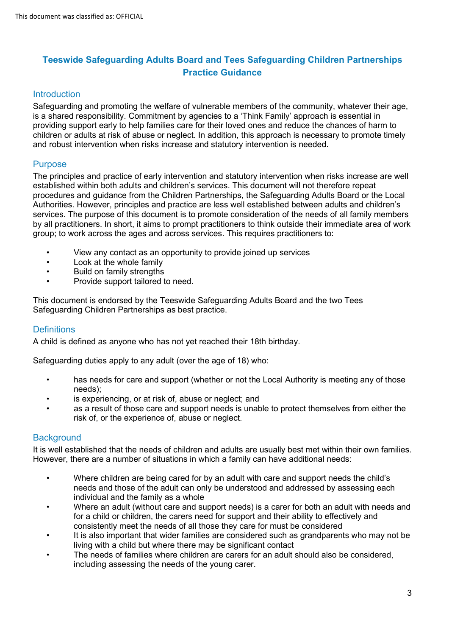## <span id="page-2-0"></span>**Teeswide Safeguarding Adults Board and Tees Safeguarding Children Partnerships Practice Guidance**

## <span id="page-2-1"></span>**Introduction**

Safeguarding and promoting the welfare of vulnerable members of the community, whatever their age, is a shared responsibility. Commitment by agencies to a 'Think Family' approach is essential in providing support early to help families care for their loved ones and reduce the chances of harm to children or adults at risk of abuse or neglect. In addition, this approach is necessary to promote timely and robust intervention when risks increase and statutory intervention is needed.

## <span id="page-2-2"></span>**Purpose**

The principles and practice of early intervention and statutory intervention when risks increase are well established within both adults and children's services. This document will not therefore repeat procedures and guidance from the Children Partnerships, the Safeguarding Adults Board or the Local Authorities. However, principles and practice are less well established between adults and children's services. The purpose of this document is to promote consideration of the needs of all family members by all practitioners. In short, it aims to prompt practitioners to think outside their immediate area of work group; to work across the ages and across services. This requires practitioners to:

- View any contact as an opportunity to provide joined up services
- Look at the whole family
- Build on family strengths
- Provide support tailored to need.

This document is endorsed by the Teeswide Safeguarding Adults Board and the two Tees Safeguarding Children Partnerships as best practice.

## <span id="page-2-3"></span>**Definitions**

A child is defined as anyone who has not yet reached their 18th birthday.

Safeguarding duties apply to any adult (over the age of 18) who:

- has needs for care and support (whether or not the Local Authority is meeting any of those needs);
- is experiencing, or at risk of, abuse or neglect; and
- as a result of those care and support needs is unable to protect themselves from either the risk of, or the experience of, abuse or neglect.

## <span id="page-2-4"></span>**Background**

It is well established that the needs of children and adults are usually best met within their own families. However, there are a number of situations in which a family can have additional needs:

- Where children are being cared for by an adult with care and support needs the child's needs and those of the adult can only be understood and addressed by assessing each individual and the family as a whole
- Where an adult (without care and support needs) is a carer for both an adult with needs and for a child or children, the carers need for support and their ability to effectively and consistently meet the needs of all those they care for must be considered
- It is also important that wider families are considered such as grandparents who may not be living with a child but where there may be significant contact
- The needs of families where children are carers for an adult should also be considered, including assessing the needs of the young carer.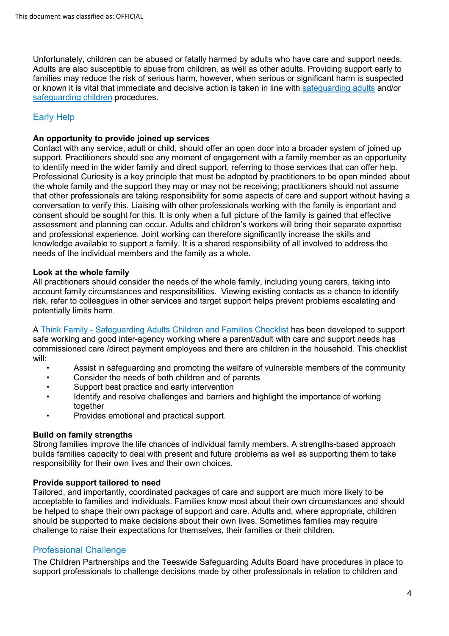Unfortunately, children can be abused or fatally harmed by adults who have care and support needs. Adults are also susceptible to abuse from children, as well as other adults. Providing support early to families may reduce the risk of serious harm, however, when serious or significant harm is suspected or known it is vital that immediate and decisive action is taken in line with [safeguarding adults](https://www.tsab.org.uk/key-information/policies-strategies/) and/or [safeguarding children](https://www.teescpp.org.uk/) procedures.

## <span id="page-3-0"></span>Early Help

## **An opportunity to provide joined up services**

Contact with any service, adult or child, should offer an open door into a broader system of joined up support. Practitioners should see any moment of engagement with a family member as an opportunity to identify need in the wider family and direct support, referring to those services that can offer help. Professional Curiosity is a key principle that must be adopted by practitioners to be open minded about the whole family and the support they may or may not be receiving; practitioners should not assume that other professionals are taking responsibility for some aspects of care and support without having a conversation to verify this. Liaising with other professionals working with the family is important and consent should be sought for this. It is only when a full picture of the family is gained that effective assessment and planning can occur. Adults and children's workers will bring their separate expertise and professional experience. Joint working can therefore significantly increase the skills and knowledge available to support a family. It is a shared responsibility of all involved to address the needs of the individual members and the family as a whole.

### **Look at the whole family**

All practitioners should consider the needs of the whole family, including young carers, taking into account family circumstances and responsibilities. Viewing existing contacts as a chance to identify risk, refer to colleagues in other services and target support helps prevent problems escalating and potentially limits harm.

A [Think Family - Safeguarding Adults Children and Families Checklist](https://www.tsab.org.uk/key-information/policies-strategies/) has been developed to support safe working and good inter-agency working where a parent/adult with care and support needs has commissioned care /direct payment employees and there are children in the household. This checklist will:

- Assist in safeguarding and promoting the welfare of vulnerable members of the community
- Consider the needs of both children and of parents
- Support best practice and early intervention
- Identify and resolve challenges and barriers and highlight the importance of working together
- Provides emotional and practical support.

### **Build on family strengths**

Strong families improve the life chances of individual family members. A strengths-based approach builds families capacity to deal with present and future problems as well as supporting them to take responsibility for their own lives and their own choices.

### **Provide support tailored to need**

Tailored, and importantly, coordinated packages of care and support are much more likely to be acceptable to families and individuals. Families know most about their own circumstances and should be helped to shape their own package of support and care. Adults and, where appropriate, children should be supported to make decisions about their own lives. Sometimes families may require challenge to raise their expectations for themselves, their families or their children.

## <span id="page-3-1"></span>Professional Challenge

The Children Partnerships and the Teeswide Safeguarding Adults Board have procedures in place to support professionals to challenge decisions made by other professionals in relation to children and